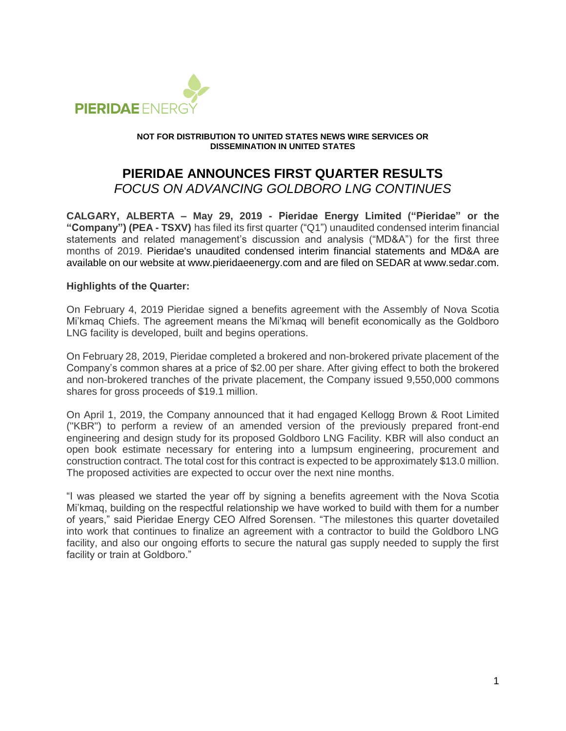

#### **NOT FOR DISTRIBUTION TO UNITED STATES NEWS WIRE SERVICES OR DISSEMINATION IN UNITED STATES**

# **PIERIDAE ANNOUNCES FIRST QUARTER RESULTS** *FOCUS ON ADVANCING GOLDBORO LNG CONTINUES*

**CALGARY, ALBERTA – May 29, 2019 - Pieridae Energy Limited ("Pieridae" or the "Company") (PEA - TSXV)** has filed its first quarter ("Q1") unaudited condensed interim financial statements and related management's discussion and analysis ("MD&A") for the first three months of 2019. Pieridae's unaudited condensed interim financial statements and MD&A are available on our website at www.pieridaeenergy.com and are filed on SEDAR at www.sedar.com.

## **Highlights of the Quarter:**

On February 4, 2019 Pieridae signed a benefits agreement with the Assembly of Nova Scotia Mi'kmaq Chiefs. The agreement means the Mi'kmaq will benefit economically as the Goldboro LNG facility is developed, built and begins operations.

On February 28, 2019, Pieridae completed a brokered and non-brokered private placement of the Company's common shares at a price of \$2.00 per share. After giving effect to both the brokered and non-brokered tranches of the private placement, the Company issued 9,550,000 commons shares for gross proceeds of \$19.1 million.

On April 1, 2019, the Company announced that it had engaged Kellogg Brown & Root Limited ("KBR") to perform a review of an amended version of the previously prepared front-end engineering and design study for its proposed Goldboro LNG Facility. KBR will also conduct an open book estimate necessary for entering into a lumpsum engineering, procurement and construction contract. The total cost for this contract is expected to be approximately \$13.0 million. The proposed activities are expected to occur over the next nine months.

"I was pleased we started the year off by signing a benefits agreement with the Nova Scotia Mi'kmaq, building on the respectful relationship we have worked to build with them for a number of years," said Pieridae Energy CEO Alfred Sorensen. "The milestones this quarter dovetailed into work that continues to finalize an agreement with a contractor to build the Goldboro LNG facility, and also our ongoing efforts to secure the natural gas supply needed to supply the first facility or train at Goldboro."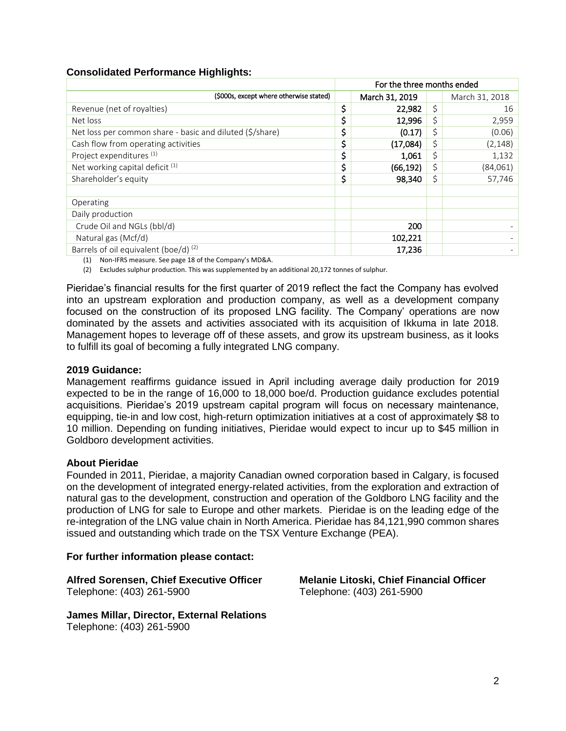## **Consolidated Performance Highlights:**

|                                                          | For the three months ended |                |    |                |
|----------------------------------------------------------|----------------------------|----------------|----|----------------|
| (\$000s, except where otherwise stated)                  |                            | March 31, 2019 |    | March 31, 2018 |
| Revenue (net of royalties)                               | \$                         | 22,982         | \$ | 16             |
| Net loss                                                 | \$                         | 12,996         |    | 2,959          |
| Net loss per common share - basic and diluted (\$/share) | \$                         | (0.17)         | \$ | (0.06)         |
| Cash flow from operating activities                      | \$                         | (17,084)       | \$ | (2, 148)       |
| Project expenditures <sup>(1)</sup>                      | \$                         | 1,061          | \$ | 1,132          |
| Net working capital deficit <sup>(1)</sup>               | \$                         | (66,192)       |    | (84,061)       |
| Shareholder's equity                                     | \$                         | 98,340         | \$ | 57,746         |
|                                                          |                            |                |    |                |
| Operating                                                |                            |                |    |                |
| Daily production                                         |                            |                |    |                |
| Crude Oil and NGLs (bbl/d)                               |                            | 200            |    |                |
| Natural gas (Mcf/d)                                      |                            | 102,221        |    |                |
| Barrels of oil equivalent (boe/d) <sup>(2)</sup>         |                            | 17,236         |    |                |

(1) Non-IFRS measure. See page 18 of the Company's MD&A.

(2) Excludes sulphur production. This was supplemented by an additional 20,172 tonnes of sulphur.

Pieridae's financial results for the first quarter of 2019 reflect the fact the Company has evolved into an upstream exploration and production company, as well as a development company focused on the construction of its proposed LNG facility. The Company' operations are now dominated by the assets and activities associated with its acquisition of Ikkuma in late 2018. Management hopes to leverage off of these assets, and grow its upstream business, as it looks to fulfill its goal of becoming a fully integrated LNG company.

#### **2019 Guidance:**

Management reaffirms guidance issued in April including average daily production for 2019 expected to be in the range of 16,000 to 18,000 boe/d. Production guidance excludes potential acquisitions. Pieridae's 2019 upstream capital program will focus on necessary maintenance, equipping, tie-in and low cost, high-return optimization initiatives at a cost of approximately \$8 to 10 million. Depending on funding initiatives, Pieridae would expect to incur up to \$45 million in Goldboro development activities.

#### **About Pieridae**

Founded in 2011, Pieridae, a majority Canadian owned corporation based in Calgary, is focused on the development of integrated energy-related activities, from the exploration and extraction of natural gas to the development, construction and operation of the Goldboro LNG facility and the production of LNG for sale to Europe and other markets. Pieridae is on the leading edge of the re-integration of the LNG value chain in North America. Pieridae has 84,121,990 common shares issued and outstanding which trade on the TSX Venture Exchange (PEA).

#### **For further information please contact:**

**Alfred Sorensen, Chief Executive Officer Melanie Litoski, Chief Financial Officer** Telephone: (403) 261-5900 Telephone: (403) 261-5900

**James Millar, Director, External Relations** Telephone: (403) 261-5900